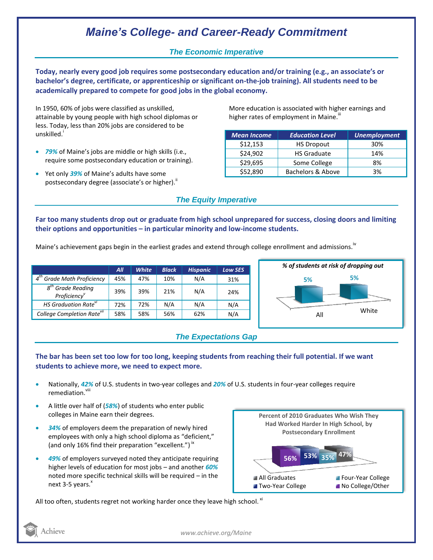# *Maine's College- and Career-Ready Commitment*

### *The Economic Imperative*

**Today, nearly every good job requires some postsecondary education and/or training (e.g., an associate's or bachelor's degree, certificate, or apprenticeship or significant on-the-job training). All students need to be academically prepared to compete for good jobs in the global economy.**

In 1950, 60% of jobs were classified as unskilled, attainable by young people with high school diplomas or less. Today, less than 20% jobs are considered to be unskilled.<sup>1</sup>

- *79%* of Maine's jobs are middle or high skills (i.e., require some postsecondary education or training).
- Yet only *39%* of Maine's adults have some postsecondary degree (associate's or higher).<sup>ii</sup>

More education is associated with higher earnings and higher rates of employment in Maine.<sup>""</sup>

| <b>Mean Income</b> | <b>Education Level</b> | <b>Unemployment</b> |
|--------------------|------------------------|---------------------|
| \$12,153           | <b>HS Dropout</b>      | 30%                 |
| \$24,902           | <b>HS Graduate</b>     | 14%                 |
| \$29,695           | Some College           | 8%                  |
| \$52,890           | Bachelors & Above      | 3%                  |

## *The Equity Imperative*

**Far too many students drop out or graduate from high school unprepared for success, closing doors and limiting their options and opportunities – in particular minority and low-income students.** 

Maine's achievement gaps begin in the earliest grades and extend through college enrollment and admissions.<sup>iv</sup>

|                                                 | All | <b>White</b> | <b>Black</b> | <b>Hispanic</b> | <b>Low SES</b> |
|-------------------------------------------------|-----|--------------|--------------|-----------------|----------------|
| $4^{th}$<br><b>Grade Math Proficiency</b>       | 45% | 47%          | 10%          | N/A             | 31%            |
| $8th$ Grade Reading<br>Proficiency <sup>v</sup> | 39% | 39%          | 21%          | N/A             | 24%            |
| HS Graduation Rate <sup>vi</sup>                | 72% | 72%          | N/A          | N/A             | N/A            |
| College Completion Rate <sup>vii</sup>          | 58% | 58%          | 56%          | 62%             | N/A            |



## *The Expectations Gap*

#### **The bar has been set too low for too long, keeping students from reaching their full potential. If we want students to achieve more, we need to expect more.**

- Nationally, *42%* of U.S. students in two-year colleges and *20%* of U.S. students in four-year colleges require remediation.<sup>viii</sup>
- A little over half of (*58%*) of students who enter public colleges in Maine earn their degrees.
- *34%* of employers deem the preparation of newly hired employees with only a high school diploma as "deficient," (and only 16% find their preparation "excellent.")<sup>ix</sup>
- *49%* of employers surveyed noted they anticipate requiring higher levels of education for most jobs – and another *60%* noted more specific technical skills will be required – in the next  $3-5$  years. $^{x}$



All too often, students regret not working harder once they leave high school.  ${}^{\text{xi}}$ 



*www.achieve.org/Maine*